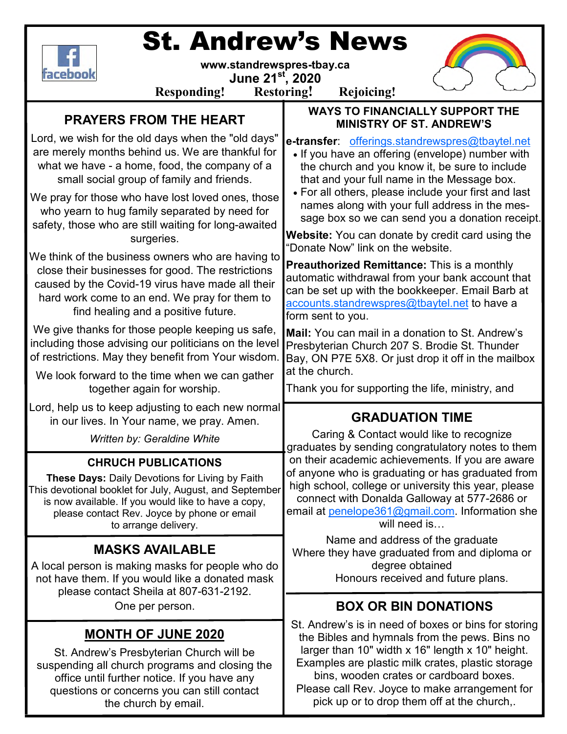

# St. Andrew's News

**www.standrewspres-tbay.ca** 

**June 21st, 2020** 



**Responding! Restoring! Rejoicing!**

**WAYS TO FINANCIALLY SUPPORT THE** 

# **PRAYERS FROM THE HEART**

| PRAYERS FROM THE HEART                                                                                                                                                                                                                                                 | <b>MINISTRY OF ST. ANDREW'S</b>                                                                                                                                                                                                                                                                                                                            |
|------------------------------------------------------------------------------------------------------------------------------------------------------------------------------------------------------------------------------------------------------------------------|------------------------------------------------------------------------------------------------------------------------------------------------------------------------------------------------------------------------------------------------------------------------------------------------------------------------------------------------------------|
| Lord, we wish for the old days when the "old days"<br>are merely months behind us. We are thankful for<br>what we have - a home, food, the company of a<br>small social group of family and friends.                                                                   | e-transfer: offerings.standrewspres@tbaytel.net<br>• If you have an offering (envelope) number with<br>the church and you know it, be sure to include<br>that and your full name in the Message box.<br>• For all others, please include your first and last                                                                                               |
| We pray for those who have lost loved ones, those<br>who yearn to hug family separated by need for<br>safety, those who are still waiting for long-awaited<br>surgeries.                                                                                               | names along with your full address in the mes-<br>sage box so we can send you a donation receipt.<br><b>Website:</b> You can donate by credit card using the<br>"Donate Now" link on the website.                                                                                                                                                          |
| We think of the business owners who are having to<br>close their businesses for good. The restrictions<br>caused by the Covid-19 virus have made all their<br>hard work come to an end. We pray for them to<br>find healing and a positive future.                     | <b>Preauthorized Remittance:</b> This is a monthly<br>automatic withdrawal from your bank account that<br>can be set up with the bookkeeper. Email Barb at<br>accounts.standrewspres@tbaytel.net to have a<br>form sent to you.                                                                                                                            |
| We give thanks for those people keeping us safe,<br>including those advising our politicians on the level<br>of restrictions. May they benefit from Your wisdom.<br>We look forward to the time when we can gather                                                     | Mail: You can mail in a donation to St. Andrew's<br>Presbyterian Church 207 S. Brodie St. Thunder<br>Bay, ON P7E 5X8. Or just drop it off in the mailbox<br>at the church.                                                                                                                                                                                 |
| together again for worship.<br>Lord, help us to keep adjusting to each new normal                                                                                                                                                                                      | Thank you for supporting the life, ministry, and                                                                                                                                                                                                                                                                                                           |
| in our lives. In Your name, we pray. Amen.                                                                                                                                                                                                                             | <b>GRADUATION TIME</b>                                                                                                                                                                                                                                                                                                                                     |
| Written by: Geraldine White                                                                                                                                                                                                                                            | Caring & Contact would like to recognize<br>graduates by sending congratulatory notes to them                                                                                                                                                                                                                                                              |
| <b>CHRUCH PUBLICATIONS</b><br>These Days: Daily Devotions for Living by Faith<br>This devotional booklet for July, August, and September<br>is now available. If you would like to have a copy,<br>please contact Rev. Joyce by phone or email<br>to arrange delivery. | on their academic achievements. If you are aware<br>of anyone who is graduating or has graduated from<br>high school, college or university this year, please<br>connect with Donalda Galloway at 577-2686 or<br>email at penelope361@gmail.com Information she<br>will need is                                                                            |
| <b>MASKS AVAILABLE</b><br>A local person is making masks for people who do<br>not have them. If you would like a donated mask<br>please contact Sheila at 807-631-2192.                                                                                                | Name and address of the graduate<br>Where they have graduated from and diploma or<br>degree obtained<br>Honours received and future plans.                                                                                                                                                                                                                 |
| One per person.                                                                                                                                                                                                                                                        | <b>BOX OR BIN DONATIONS</b>                                                                                                                                                                                                                                                                                                                                |
| <b>MONTH OF JUNE 2020</b><br>St. Andrew's Presbyterian Church will be<br>suspending all church programs and closing the<br>office until further notice. If you have any<br>questions or concerns you can still contact<br>the church by email.                         | St. Andrew's is in need of boxes or bins for storing<br>the Bibles and hymnals from the pews. Bins no<br>larger than 10" width x 16" length x 10" height.<br>Examples are plastic milk crates, plastic storage<br>bins, wooden crates or cardboard boxes.<br>Please call Rev. Joyce to make arrangement for<br>pick up or to drop them off at the church,. |